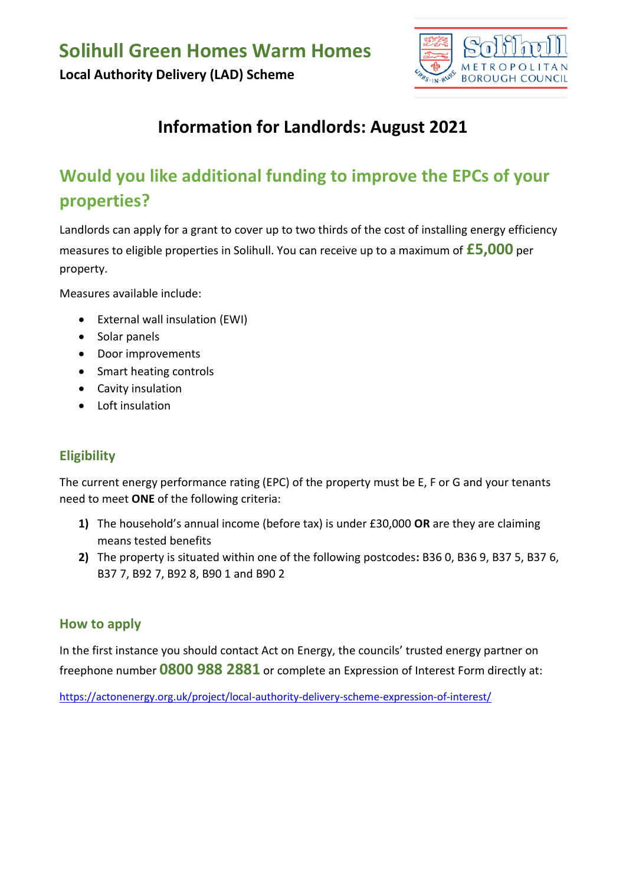

## **Information for Landlords: August 2021**

# **Would you like additional funding to improve the EPCs of your properties?**

Landlords can apply for a grant to cover up to two thirds of the cost of installing energy efficiency measures to eligible properties in Solihull. You can receive up to a maximum of **£5,000** per property.

Measures available include:

- External wall insulation (EWI)
- Solar panels
- Door improvements
- Smart heating controls
- Cavity insulation
- Loft insulation

#### **Eligibility**

The current energy performance rating (EPC) of the property must be E, F or G and your tenants need to meet **ONE** of the following criteria:

- **1)** The household's annual income (before tax) is under £30,000 **OR** are they are claiming means tested benefits
- **2)** The property is situated within one of the following postcodes**:** B36 0, B36 9, B37 5, B37 6, B37 7, B92 7, B92 8, B90 1 and B90 2

#### **How to apply**

In the first instance you should contact Act on Energy, the councils' trusted energy partner on freephone number **0800 988 2881** or complete an Expression of Interest Form directly at:

<https://actonenergy.org.uk/project/local-authority-delivery-scheme-expression-of-interest/>